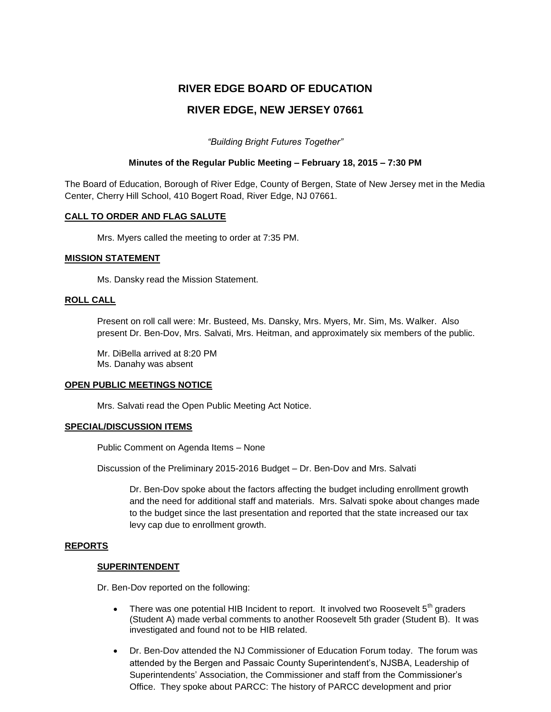# **RIVER EDGE BOARD OF EDUCATION RIVER EDGE, NEW JERSEY 07661**

*"Building Bright Futures Together"*

## **Minutes of the Regular Public Meeting – February 18, 2015 – 7:30 PM**

The Board of Education, Borough of River Edge, County of Bergen, State of New Jersey met in the Media Center, Cherry Hill School, 410 Bogert Road, River Edge, NJ 07661.

## **CALL TO ORDER AND FLAG SALUTE**

Mrs. Myers called the meeting to order at 7:35 PM.

## **MISSION STATEMENT**

Ms. Dansky read the Mission Statement.

## **ROLL CALL**

Present on roll call were: Mr. Busteed, Ms. Dansky, Mrs. Myers, Mr. Sim, Ms. Walker. Also present Dr. Ben-Dov, Mrs. Salvati, Mrs. Heitman, and approximately six members of the public.

Mr. DiBella arrived at 8:20 PM Ms. Danahy was absent

## **OPEN PUBLIC MEETINGS NOTICE**

Mrs. Salvati read the Open Public Meeting Act Notice.

## **SPECIAL/DISCUSSION ITEMS**

Public Comment on Agenda Items – None

Discussion of the Preliminary 2015-2016 Budget – Dr. Ben-Dov and Mrs. Salvati

Dr. Ben-Dov spoke about the factors affecting the budget including enrollment growth and the need for additional staff and materials. Mrs. Salvati spoke about changes made to the budget since the last presentation and reported that the state increased our tax levy cap due to enrollment growth.

## **REPORTS**

## **SUPERINTENDENT**

Dr. Ben-Dov reported on the following:

- There was one potential HIB Incident to report. It involved two Roosevelt  $5<sup>th</sup>$  graders (Student A) made verbal comments to another Roosevelt 5th grader (Student B). It was investigated and found not to be HIB related.
- Dr. Ben-Dov attended the NJ Commissioner of Education Forum today. The forum was attended by the Bergen and Passaic County Superintendent's, NJSBA, Leadership of Superintendents' Association, the Commissioner and staff from the Commissioner's Office. They spoke about PARCC: The history of PARCC development and prior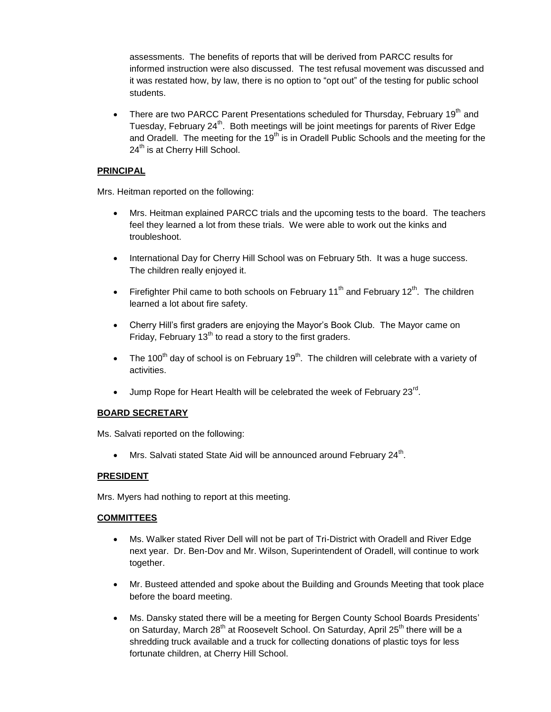assessments. The benefits of reports that will be derived from PARCC results for informed instruction were also discussed. The test refusal movement was discussed and it was restated how, by law, there is no option to "opt out" of the testing for public school students.

There are two PARCC Parent Presentations scheduled for Thursday, February 19<sup>th</sup> and Tuesday, February 24<sup>th</sup>. Both meetings will be joint meetings for parents of River Edge and Oradell. The meeting for the 19<sup>th</sup> is in Oradell Public Schools and the meeting for the  $24<sup>th</sup>$  is at Cherry Hill School.

## **PRINCIPAL**

Mrs. Heitman reported on the following:

- Mrs. Heitman explained PARCC trials and the upcoming tests to the board. The teachers feel they learned a lot from these trials. We were able to work out the kinks and troubleshoot.
- International Day for Cherry Hill School was on February 5th. It was a huge success. The children really enjoyed it.
- Firefighter Phil came to both schools on February  $11<sup>th</sup>$  and February  $12<sup>th</sup>$ . The children learned a lot about fire safety.
- Cherry Hill's first graders are enjoying the Mayor's Book Club. The Mayor came on Friday, February  $13<sup>th</sup>$  to read a story to the first graders.
- The 100<sup>th</sup> day of school is on February 19<sup>th</sup>. The children will celebrate with a variety of activities.
- $\bullet$  Jump Rope for Heart Health will be celebrated the week of February 23 $^{\text{rd}}$ .

## **BOARD SECRETARY**

Ms. Salvati reported on the following:

• Mrs. Salvati stated State Aid will be announced around February  $24^{\text{th}}$ .

## **PRESIDENT**

Mrs. Myers had nothing to report at this meeting.

## **COMMITTEES**

- Ms. Walker stated River Dell will not be part of Tri-District with Oradell and River Edge next year. Dr. Ben-Dov and Mr. Wilson, Superintendent of Oradell, will continue to work together.
- Mr. Busteed attended and spoke about the Building and Grounds Meeting that took place before the board meeting.
- Ms. Dansky stated there will be a meeting for Bergen County School Boards Presidents' on Saturday, March 28<sup>th</sup> at Roosevelt School. On Saturday, April 25<sup>th</sup> there will be a shredding truck available and a truck for collecting donations of plastic toys for less fortunate children, at Cherry Hill School.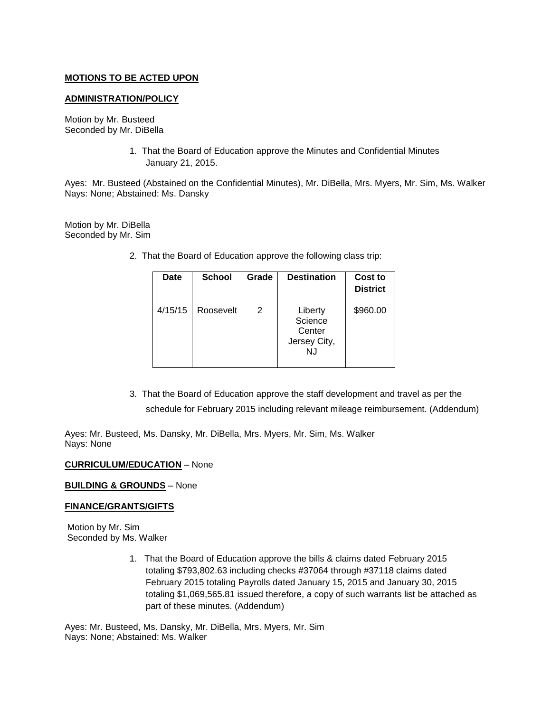## **MOTIONS TO BE ACTED UPON**

## **ADMINISTRATION/POLICY**

Motion by Mr. Busteed Seconded by Mr. DiBella

> 1. That the Board of Education approve the Minutes and Confidential Minutes January 21, 2015.

Ayes: Mr. Busteed (Abstained on the Confidential Minutes), Mr. DiBella, Mrs. Myers, Mr. Sim, Ms. Walker Nays: None; Abstained: Ms. Dansky

Motion by Mr. DiBella Seconded by Mr. Sim

2. That the Board of Education approve the following class trip:

| Date    | <b>School</b> | Grade | <b>Destination</b>                                  | Cost to<br><b>District</b> |
|---------|---------------|-------|-----------------------------------------------------|----------------------------|
| 4/15/15 | Roosevelt     | 2     | Liberty<br>Science<br>Center<br>Jersey City,<br>N.J | \$960.00                   |

3. That the Board of Education approve the staff development and travel as per the schedule for February 2015 including relevant mileage reimbursement. (Addendum)

Ayes: Mr. Busteed, Ms. Dansky, Mr. DiBella, Mrs. Myers, Mr. Sim, Ms. Walker Nays: None

#### **CURRICULUM/EDUCATION** – None

#### **BUILDING & GROUNDS** – None

## **FINANCE/GRANTS/GIFTS**

Motion by Mr. Sim Seconded by Ms. Walker

> 1. That the Board of Education approve the bills & claims dated February 2015 totaling \$793,802.63 including checks #37064 through #37118 claims dated February 2015 totaling Payrolls dated January 15, 2015 and January 30, 2015 totaling \$1,069,565.81 issued therefore, a copy of such warrants list be attached as part of these minutes. (Addendum)

Ayes: Mr. Busteed, Ms. Dansky, Mr. DiBella, Mrs. Myers, Mr. Sim Nays: None; Abstained: Ms. Walker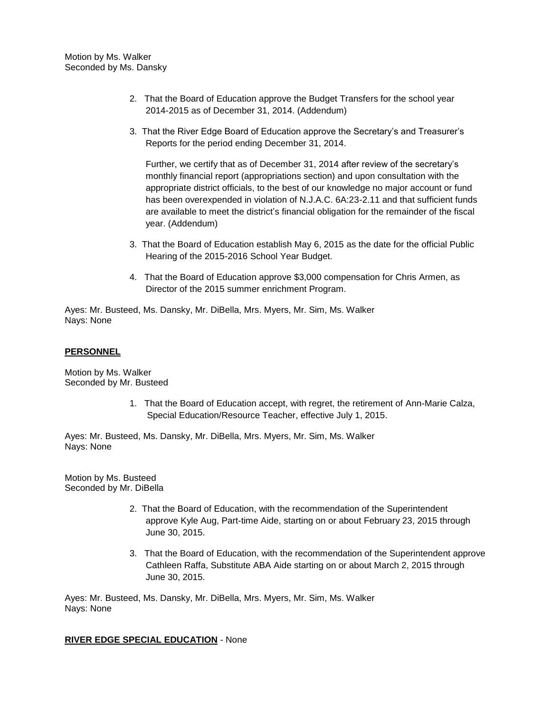- 2. That the Board of Education approve the Budget Transfers for the school year 2014-2015 as of December 31, 2014. (Addendum)
- 3. That the River Edge Board of Education approve the Secretary's and Treasurer's Reports for the period ending December 31, 2014.

Further, we certify that as of December 31, 2014 after review of the secretary's monthly financial report (appropriations section) and upon consultation with the appropriate district officials, to the best of our knowledge no major account or fund has been overexpended in violation of N.J.A.C. 6A:23-2.11 and that sufficient funds are available to meet the district's financial obligation for the remainder of the fiscal year. (Addendum)

- 3. That the Board of Education establish May 6, 2015 as the date for the official Public Hearing of the 2015-2016 School Year Budget.
- 4. That the Board of Education approve \$3,000 compensation for Chris Armen, as Director of the 2015 summer enrichment Program.

Ayes: Mr. Busteed, Ms. Dansky, Mr. DiBella, Mrs. Myers, Mr. Sim, Ms. Walker Nays: None

## **PERSONNEL**

Motion by Ms. Walker Seconded by Mr. Busteed

> 1. That the Board of Education accept, with regret, the retirement of Ann-Marie Calza, Special Education/Resource Teacher, effective July 1, 2015.

Ayes: Mr. Busteed, Ms. Dansky, Mr. DiBella, Mrs. Myers, Mr. Sim, Ms. Walker Nays: None

Motion by Ms. Busteed Seconded by Mr. DiBella

- 2. That the Board of Education, with the recommendation of the Superintendent approve Kyle Aug, Part-time Aide, starting on or about February 23, 2015 through June 30, 2015.
- 3. That the Board of Education, with the recommendation of the Superintendent approve Cathleen Raffa, Substitute ABA Aide starting on or about March 2, 2015 through June 30, 2015.

Ayes: Mr. Busteed, Ms. Dansky, Mr. DiBella, Mrs. Myers, Mr. Sim, Ms. Walker Nays: None

**RIVER EDGE SPECIAL EDUCATION** - None